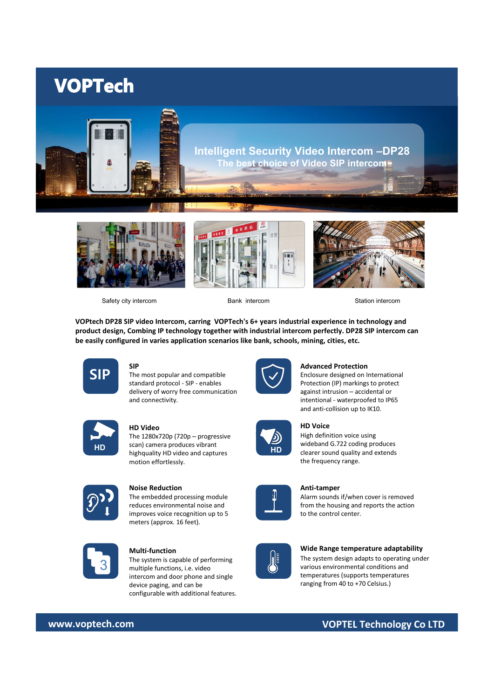# **VOPTech**









Safety city intercom Bank intercom Station intercom

**VOPtech DP28 SIP video Intercom, carring VOPTech's 6+ years industrial experience in technology and product design, Combing IP technology together with industrial intercom perfectly. DP28 SIP intercom can be easily configured in varies application scenarios like bank, schools, mining, cities, etc.**



## **SIP**

 $\textsf{SIP}$  The most popular and compatible  $\left\{\checkmark\right\}$ standard protocol - SIP - enables delivery of worry free communication and connectivity.



## **HD Video**

**HD HD can can be computed** to **HD HD Clearer sound quality and extends** the high produces the clearer sound quality and extends The 1280x720p (720p – progressive scan) camera produces vibrant highquality HD video and captures motion effortlessly.



#### **Noise Reduction**

The embedded processing module reduces environmental noise and improves voice recognition up to 5 meters (approx. 16 feet).



#### **Multi-function**

**3** The system is capable of performing<br> **3** multiple functions, i.e. video The system is capable of performing intercom and door phone and single device paging, and can be configurable with additional features.



#### **Advanced Protection**

Enclosure designed on International Protection (IP) markings to protect against intrusion – accidental or intentional - waterproofed to IP65 and anti-collision up to IK10.



### **HD Voice**

High definition voice using wideband G.722 coding produces the frequency range.



### **Anti-tamper**

Alarm sounds if/when cover is removed from the housing and reports the action to the control center.

#### **Wide Range temperature adaptability**

The system design adapts to operating under various environmental conditions and temperatures (supports temperatures ranging from 40 to +70 Celsius.)